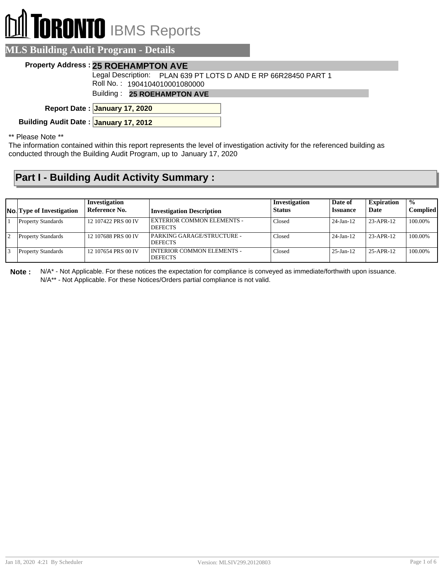## **RONTO** IBMS Reports

|                                       | <b>MLS Building Audit Program - Details</b>                                                     |
|---------------------------------------|-------------------------------------------------------------------------------------------------|
|                                       | <b>Property Address: 25 ROEHAMPTON AVE</b>                                                      |
|                                       | Legal Description: PLAN 639 PT LOTS D AND E RP 66R28450 PART 1<br>Roll No.: 1904104010001080000 |
|                                       | Building: 25 ROEHAMPTON AVE                                                                     |
|                                       | Report Date: January 17, 2020                                                                   |
| Building Audit Date: January 17, 2012 |                                                                                                 |

\*\* Please Note \*\*

The information contained within this report represents the level of investigation activity for the referenced building as conducted through the Building Audit Program, up to January 17, 2020

## **Part I - Building Audit Activity Summary :**

| <b>No.</b> Type of Investigation | Investigation<br>Reference No. | <b>Investigation Description</b>               | Investigation<br><b>Status</b> | Date of<br><b>Issuance</b> | <b>Expiration</b><br>Date | $\frac{0}{0}$<br><b>Complied</b> |
|----------------------------------|--------------------------------|------------------------------------------------|--------------------------------|----------------------------|---------------------------|----------------------------------|
| <b>Property Standards</b>        | 12 107422 PRS 00 IV            | EXTERIOR COMMON ELEMENTS -<br><b>DEFECTS</b>   | Closed                         | $24$ -Jan-12               | 23-APR-12                 | 100.00%                          |
| <b>Property Standards</b>        | 12 107688 PRS 00 IV            | PARKING GARAGE/STRUCTURE -<br><b>DEFECTS</b>   | Closed                         | $24 - Jan - 12$            | 23-APR-12                 | 100.00%                          |
| <b>Property Standards</b>        | 12 107654 PRS 00 IV            | I INTERIOR COMMON ELEMENTS -<br><b>DEFECTS</b> | Closed                         | $25$ -Jan-12               | 25-APR-12                 | 100.00%                          |

**Note :** N/A\* - Not Applicable. For these notices the expectation for compliance is conveyed as immediate/forthwith upon issuance. N/A\*\* - Not Applicable. For these Notices/Orders partial compliance is not valid.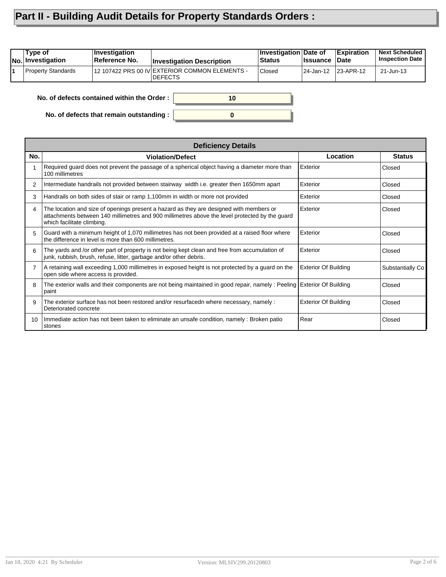## **Part II - Building Audit Details for Property Standards Orders :**

|                           |                                                            |        |             | ∣Date             |           |
|---------------------------|------------------------------------------------------------|--------|-------------|-------------------|-----------|
| <b>Property Standards</b> | 12 107422 PRS 00 IV EXTERIOR COMMON ELEMENTS -<br>IDEFECTS | Closed | l 24-Jan-12 | $ 23 - APR - 12 $ | 21-Jun-13 |

**0**

**10**

**No. of defects contained within the Order :**

**No. of defects that remain outstanding :**

|     | <b>Deficiency Details</b>                                                                                                                                                                                               |                             |                  |  |  |  |  |
|-----|-------------------------------------------------------------------------------------------------------------------------------------------------------------------------------------------------------------------------|-----------------------------|------------------|--|--|--|--|
| No. | <b>Violation/Defect</b>                                                                                                                                                                                                 | Location                    | <b>Status</b>    |  |  |  |  |
|     | Required guard does not prevent the passage of a spherical object having a diameter more than<br>100 millimetres                                                                                                        | Exterior                    | Closed           |  |  |  |  |
| 2   | Intermediate handrails not provided between stairway width i.e. greater then 1650mm apart                                                                                                                               | Exterior                    | Closed           |  |  |  |  |
| 3   | Handrails on both sides of stair or ramp 1,100mm in width or more not provided                                                                                                                                          | Exterior                    | Closed           |  |  |  |  |
| 4   | The location and size of openings present a hazard as they are designed with members or<br>attachments between 140 millimetres and 900 millimetres above the level protected by the guard<br>which facilitate climbing. | Exterior                    | Closed           |  |  |  |  |
| 5   | Guard with a minimum height of 1,070 millimetres has not been provided at a raised floor where<br>the difference in level is more than 600 millimetres.                                                                 | Exterior                    | Closed           |  |  |  |  |
| 6   | The yards and /or other part of property is not being kept clean and free from accumulation of<br>junk, rubbish, brush, refuse, litter, garbage and/or other debris.                                                    | Exterior                    | Closed           |  |  |  |  |
|     | A retaining wall exceeding 1,000 millimetres in exposed height is not protected by a guard on the<br>open side where access is provided.                                                                                | <b>Exterior Of Building</b> | Substantially Co |  |  |  |  |
| 8   | The exterior walls and their components are not being maintained in good repair, namely: Peeling Exterior Of Building<br>paint                                                                                          |                             | Closed           |  |  |  |  |
| 9   | The exterior surface has not been restored and/or resurfacedn where necessary, namely :<br>Deteriorated concrete                                                                                                        | <b>Exterior Of Building</b> | Closed           |  |  |  |  |
| 10  | Immediate action has not been taken to eliminate an unsafe condition, namely: Broken patio<br>stones                                                                                                                    | Rear                        | Closed           |  |  |  |  |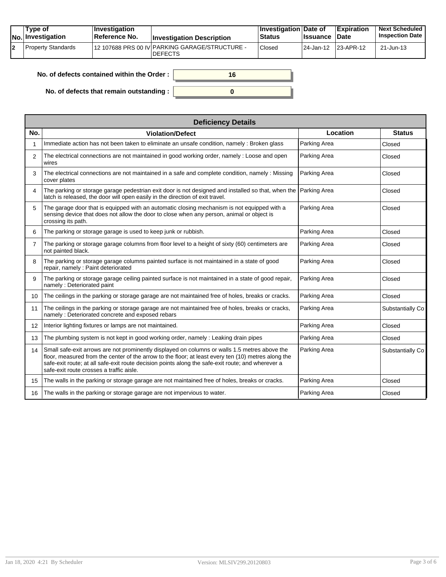| Type of<br>$ No $ Investigation | $\vert$ Investigation<br><b>Reference No.</b> | <b>Investigation Description</b>                                 | <b>Investigation Date of</b><br><b>Status</b> | <b>Ilssuance Date</b> | Expiration        | <b>Next Scheduled</b><br><b>Inspection Date</b> |
|---------------------------------|-----------------------------------------------|------------------------------------------------------------------|-----------------------------------------------|-----------------------|-------------------|-------------------------------------------------|
| Property Standards              |                                               | 12 107688 PRS 00 IV PARKING GARAGE/STRUCTURE -<br><b>DEFECTS</b> | <sup>1</sup> Closed                           | 124-Jan-12            | $ 23 - APR - 12 $ | 21-Jun-13                                       |

| No. of defects contained within the Order : $\vert$ | 16 |
|-----------------------------------------------------|----|
| No. of defects that remain outstanding :            |    |

|                 | <b>Deficiency Details</b>                                                                                                                                                                                                                                                                                                                             |              |                  |  |  |  |  |  |
|-----------------|-------------------------------------------------------------------------------------------------------------------------------------------------------------------------------------------------------------------------------------------------------------------------------------------------------------------------------------------------------|--------------|------------------|--|--|--|--|--|
| No.             | <b>Violation/Defect</b>                                                                                                                                                                                                                                                                                                                               | Location     | <b>Status</b>    |  |  |  |  |  |
|                 | Immediate action has not been taken to eliminate an unsafe condition, namely: Broken glass                                                                                                                                                                                                                                                            | Parking Area | Closed           |  |  |  |  |  |
| $\overline{2}$  | The electrical connections are not maintained in good working order, namely : Loose and open<br>wires                                                                                                                                                                                                                                                 | Parking Area | Closed           |  |  |  |  |  |
| 3               | The electrical connections are not maintained in a safe and complete condition, namely : Missing<br>cover plates                                                                                                                                                                                                                                      | Parking Area | Closed           |  |  |  |  |  |
| 4               | The parking or storage garage pedestrian exit door is not designed and installed so that, when the Parking Area<br>latch is released, the door will open easily in the direction of exit travel.                                                                                                                                                      |              | Closed           |  |  |  |  |  |
| 5               | The garage door that is equipped with an automatic closing mechanism is not equipped with a<br>sensing device that does not allow the door to close when any person, animal or object is<br>crossing its path.                                                                                                                                        | Parking Area | Closed           |  |  |  |  |  |
| 6               | The parking or storage garage is used to keep junk or rubbish.                                                                                                                                                                                                                                                                                        | Parking Area | Closed           |  |  |  |  |  |
| 7               | The parking or storage garage columns from floor level to a height of sixty (60) centimeters are<br>not painted black.                                                                                                                                                                                                                                | Parking Area | Closed           |  |  |  |  |  |
| 8               | The parking or storage garage columns painted surface is not maintained in a state of good<br>repair, namely : Paint deteriorated                                                                                                                                                                                                                     | Parking Area | Closed           |  |  |  |  |  |
| 9               | The parking or storage garage ceiling painted surface is not maintained in a state of good repair,<br>namely: Deteriorated paint                                                                                                                                                                                                                      | Parking Area | Closed           |  |  |  |  |  |
| 10 <sup>°</sup> | The ceilings in the parking or storage garage are not maintained free of holes, breaks or cracks.                                                                                                                                                                                                                                                     | Parking Area | Closed           |  |  |  |  |  |
| 11              | The ceilings in the parking or storage garage are not maintained free of holes, breaks or cracks,<br>namely: Deteriorated concrete and exposed rebars                                                                                                                                                                                                 | Parking Area | Substantially Co |  |  |  |  |  |
| 12 <sup>°</sup> | Interior lighting fixtures or lamps are not maintained.                                                                                                                                                                                                                                                                                               | Parking Area | Closed           |  |  |  |  |  |
| 13              | The plumbing system is not kept in good working order, namely : Leaking drain pipes                                                                                                                                                                                                                                                                   | Parking Area | Closed           |  |  |  |  |  |
| 14              | Small safe-exit arrows are not prominently displayed on columns or walls 1.5 metres above the<br>floor, measured from the center of the arrow to the floor; at least every ten (10) metres along the<br>safe-exit route; at all safe-exit route decision points along the safe-exit route; and wherever a<br>safe-exit route crosses a traffic aisle. | Parking Area | Substantially Co |  |  |  |  |  |
| 15              | The walls in the parking or storage garage are not maintained free of holes, breaks or cracks.                                                                                                                                                                                                                                                        | Parking Area | Closed           |  |  |  |  |  |
| 16              | The walls in the parking or storage garage are not impervious to water.                                                                                                                                                                                                                                                                               | Parking Area | Closed           |  |  |  |  |  |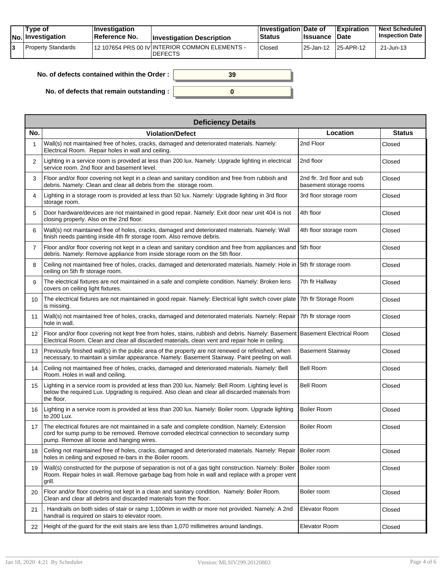|  | Tvpe of<br>$ No $ Investigation | <b>Investigation</b><br>⊺Reference No. | <b>Investigation Description</b>                                 | <b>Investigation Date of</b><br><b>Status</b> | <b>Issuance Date</b> | <b>Expiration</b> | <b>Next Scheduled</b><br><b>Inspection Date</b> |
|--|---------------------------------|----------------------------------------|------------------------------------------------------------------|-----------------------------------------------|----------------------|-------------------|-------------------------------------------------|
|  | Property Standards              |                                        | 12 107654 PRS 00 IV INTERIOR COMMON ELEMENTS -<br><b>DEFECTS</b> | Closed                                        | 25-Jan-12            | $ 25 - APR - 12 $ | 21-Jun-13                                       |

| No. of defects contained within the Order : $\vert$ | 39 |
|-----------------------------------------------------|----|
| No. of defects that remain outstanding :            |    |

|                   | <b>Deficiency Details</b>                                                                                                                                                                                                                |                                                      |               |  |  |  |  |  |  |
|-------------------|------------------------------------------------------------------------------------------------------------------------------------------------------------------------------------------------------------------------------------------|------------------------------------------------------|---------------|--|--|--|--|--|--|
| No.               | <b>Violation/Defect</b>                                                                                                                                                                                                                  | Location                                             | <b>Status</b> |  |  |  |  |  |  |
|                   | Wall(s) not maintained free of holes, cracks, damaged and deteriorated materials. Namely:<br>Electrical Room. Repair holes in wall and ceiling.                                                                                          | 2nd Floor                                            | Closed        |  |  |  |  |  |  |
| 2                 | Lighting in a service room is provided at less than 200 lux. Namely: Upgrade lighting in electrical<br>service room. 2nd floor and basement level.                                                                                       | 2nd floor                                            | Closed        |  |  |  |  |  |  |
| 3                 | Floor and/or floor covering not kept in a clean and sanitary condition and free from rubbish and<br>debris. Namely: Clean and clear all debris from the storage room.                                                                    | 2nd flr. 3rd floor and sub<br>basement storage rooms | Closed        |  |  |  |  |  |  |
| 4                 | Lighting in a storage room is provided at less than 50 lux. Namely: Upgrade lighting in 3rd floor<br>storage room.                                                                                                                       | 3rd floor storage room                               | Closed        |  |  |  |  |  |  |
| 5                 | Door hardware/devices are not maintained in good repair. Namely: Exit door near unit 404 is not<br>closing properly. Also on the 2nd floor.                                                                                              | 4th floor                                            | Closed        |  |  |  |  |  |  |
| 6                 | Wall(s) not maintained free of holes, cracks, damaged and deteriorated materials. Namely: Wall<br>finish needs painting inside 4th flr storage room. Also remove debris.                                                                 | 4th floor storage room                               | Closed        |  |  |  |  |  |  |
| $\overline{7}$    | Floor and/or floor covering not kept in a clean and sanitary condition and free from appliances and<br>debris. Namely: Remove appliance from inside storage room on the 5th floor.                                                       | 5th floor                                            | Closed        |  |  |  |  |  |  |
| 8                 | Ceiling not maintained free of holes, cracks, damaged and deteriorated materials. Namely: Hole in  5th flr storage room<br>ceiling on 5th flr storage room.                                                                              |                                                      | Closed        |  |  |  |  |  |  |
| 9                 | The electrical fixtures are not maintained in a safe and complete condition. Namely: Broken lens<br>covers on ceiling light fixtures.                                                                                                    | 7th fir Hallway                                      | Closed        |  |  |  |  |  |  |
| 10 <sup>°</sup>   | The electrical fixtures are not maintained in good repair. Namely: Electrical light switch cover plate<br>is missing.                                                                                                                    | 7th fir Storage Room                                 | Closed        |  |  |  |  |  |  |
| 11                | Wall(s) not maintained free of holes, cracks, damaged and deteriorated materials. Namely: Repair<br>hole in wall.                                                                                                                        | 7th fir storage room                                 | Closed        |  |  |  |  |  |  |
| $12 \overline{ }$ | Floor and/or floor covering not kept free from holes, stains, rubbish and debris. Namely: Basement Basement Electrical Room<br>Electrical Room. Clean and clear all discarded materials, clean vent and repair hole in ceiling.          |                                                      | Closed        |  |  |  |  |  |  |
| 13                | Previously finished wall(s) in the public area of the property are not renewed or refinished, when<br>necessary, to maintain a similar appearance. Namely: Basement Stairway. Paint peeling on wall.                                     | <b>Basement Stairway</b>                             | Closed        |  |  |  |  |  |  |
| 14                | Ceiling not maintained free of holes, cracks, damaged and deteriorated materials. Namely: Bell<br>Room. Holes in wall and ceiling.                                                                                                       | <b>Bell Room</b>                                     | Closed        |  |  |  |  |  |  |
| 15                | Lighting in a service room is provided at less than 200 lux. Namely: Bell Room. Lighting level is<br>below the required Lux. Upgrading is required. Also clean and clear all discarded materials from<br>the floor.                      | <b>Bell Room</b>                                     | Closed        |  |  |  |  |  |  |
| 16                | Lighting in a service room is provided at less than 200 lux. Namely: Boiler room. Upgrade lighting<br>to 200 Lux.                                                                                                                        | <b>Boiler Room</b>                                   | Closed        |  |  |  |  |  |  |
| 17                | The electrical fixtures are not maintained in a safe and complete condition. Namely: Extension<br>cord for sump pump to be removed. Remove corroded electrical connection to secondary sump<br>pump. Remove all loose and hanging wires. | <b>Boiler Room</b>                                   | Closed        |  |  |  |  |  |  |
| 18                | Ceiling not maintained free of holes, cracks, damaged and deteriorated materials. Namely: Repair<br>holes in ceiling and exposed re-bars in the Boiler rooom.                                                                            | Boiler room                                          | Closed        |  |  |  |  |  |  |
| 19                | Wall(s) constructed for the purpose of separation is not of a gas tight construction. Namely: Boiler<br>Room. Repair holes in wall. Remove garbage bag from hole in wall and replace with a proper vent<br>grill.                        | Boiler room                                          | Closed        |  |  |  |  |  |  |
| 20                | Floor and/or floor covering not kept in a clean and sanitary condition. Namely: Boiler Room.<br>Clean and clear all debris and discarded materials from the floor.                                                                       | Boiler room                                          | Closed        |  |  |  |  |  |  |
| 21                | . Handrails on both sides of stair or ramp 1,100mm in width or more not provided. Namely: A 2nd<br>handrail is required on stairs to elevator room.                                                                                      | <b>Elevator Room</b>                                 | Closed        |  |  |  |  |  |  |
| 22                | Height of the guard for the exit stairs are less than 1,070 millimetres around landings.                                                                                                                                                 | Elevator Room                                        | Closed        |  |  |  |  |  |  |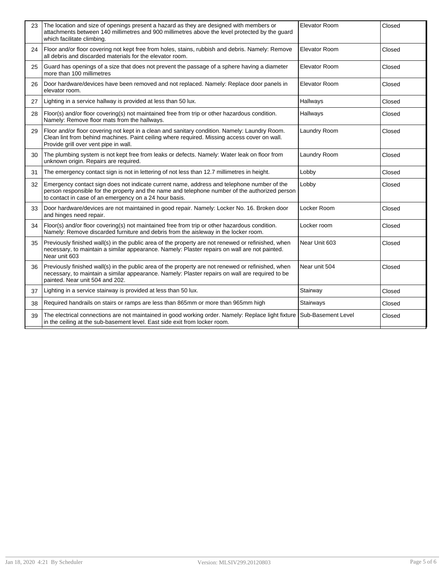| 23 | The location and size of openings present a hazard as they are designed with members or<br>attachments between 140 millimetres and 900 millimetres above the level protected by the quard<br>which facilitate climbing.                                | Elevator Room        | Closed |
|----|--------------------------------------------------------------------------------------------------------------------------------------------------------------------------------------------------------------------------------------------------------|----------------------|--------|
| 24 | Floor and/or floor covering not kept free from holes, stains, rubbish and debris. Namely: Remove<br>all debris and discarded materials for the elevator room.                                                                                          | Elevator Room        | Closed |
| 25 | Guard has openings of a size that does not prevent the passage of a sphere having a diameter<br>more than 100 millimetres                                                                                                                              | <b>Elevator Room</b> | Closed |
| 26 | Door hardware/devices have been removed and not replaced. Namely: Replace door panels in<br>elevator room.                                                                                                                                             | Elevator Room        | Closed |
| 27 | Lighting in a service hallway is provided at less than 50 lux.                                                                                                                                                                                         | Hallways             | Closed |
| 28 | Floor(s) and/or floor covering(s) not maintained free from trip or other hazardous condition.<br>Namely: Remove floor mats from the hallways.                                                                                                          | Hallways             | Closed |
| 29 | Floor and/or floor covering not kept in a clean and sanitary condition. Namely: Laundry Room.<br>Clean lint from behind machines. Paint ceiling where required. Missing access cover on wall.<br>Provide grill over vent pipe in wall.                 | Laundry Room         | Closed |
| 30 | The plumbing system is not kept free from leaks or defects. Namely: Water leak on floor from<br>unknown origin. Repairs are required.                                                                                                                  | Laundry Room         | Closed |
| 31 | The emergency contact sign is not in lettering of not less than 12.7 millimetres in height.                                                                                                                                                            | Lobby                | Closed |
| 32 | Emergency contact sign does not indicate current name, address and telephone number of the<br>person responsible for the property and the name and telephone number of the authorized person<br>to contact in case of an emergency on a 24 hour basis. | Lobby                | Closed |
| 33 | Door hardware/devices are not maintained in good repair. Namely: Locker No. 16. Broken door<br>and hinges need repair.                                                                                                                                 | Locker Room          | Closed |
| 34 | Floor(s) and/or floor covering(s) not maintained free from trip or other hazardous condition.<br>Namely: Remove discarded furniture and debris from the aisleway in the locker room.                                                                   | Locker room          | Closed |
| 35 | Previously finished wall(s) in the public area of the property are not renewed or refinished, when<br>necessary, to maintain a similar appearance. Namely: Plaster repairs on wall are not painted.<br>Near unit 603                                   | Near Unit 603        | Closed |
| 36 | Previously finished wall(s) in the public area of the property are not renewed or refinished, when<br>necessary, to maintain a similar appearance. Namely: Plaster repairs on wall are required to be<br>painted. Near unit 504 and 202.               | Near unit 504        | Closed |
| 37 | Lighting in a service stairway is provided at less than 50 lux.                                                                                                                                                                                        | Stairway             | Closed |
| 38 | Required handrails on stairs or ramps are less than 865mm or more than 965mm high                                                                                                                                                                      | Stairways            | Closed |
| 39 | The electrical connections are not maintained in good working order. Namely: Replace light fixture Sub-Basement Level<br>in the ceiling at the sub-basement level. East side exit from locker room.                                                    |                      | Closed |
|    |                                                                                                                                                                                                                                                        |                      |        |